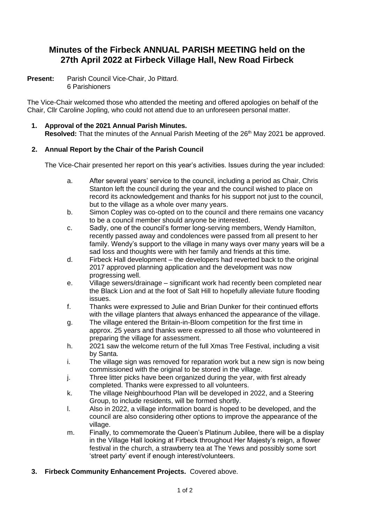# **Minutes of the Firbeck ANNUAL PARISH MEETING held on the 27th April 2022 at Firbeck Village Hall, New Road Firbeck**

**Present:** Parish Council Vice-Chair, Jo Pittard. 6 Parishioners

The Vice-Chair welcomed those who attended the meeting and offered apologies on behalf of the Chair, Cllr Caroline Jopling, who could not attend due to an unforeseen personal matter.

**1. Approval of the 2021 Annual Parish Minutes.** Resolved: That the minutes of the Annual Parish Meeting of the 26<sup>th</sup> May 2021 be approved.

## **2. Annual Report by the Chair of the Parish Council**

The Vice-Chair presented her report on this year's activities. Issues during the year included:

- a. After several years' service to the council, including a period as Chair, Chris Stanton left the council during the year and the council wished to place on record its acknowledgement and thanks for his support not just to the council, but to the village as a whole over many years.
- b. Simon Copley was co-opted on to the council and there remains one vacancy to be a council member should anyone be interested.
- c. Sadly, one of the council's former long-serving members, Wendy Hamilton, recently passed away and condolences were passed from all present to her family. Wendy's support to the village in many ways over many years will be a sad loss and thoughts were with her family and friends at this time.
- d. Firbeck Hall development the developers had reverted back to the original 2017 approved planning application and the development was now progressing well.
- e. Village sewers/drainage significant work had recently been completed near the Black Lion and at the foot of Salt Hill to hopefully alleviate future flooding issues.
- f. Thanks were expressed to Julie and Brian Dunker for their continued efforts with the village planters that always enhanced the appearance of the village.
- g. The village entered the Britain-in-Bloom competition for the first time in approx. 25 years and thanks were expressed to all those who volunteered in preparing the village for assessment.
- h. 2021 saw the welcome return of the full Xmas Tree Festival, including a visit by Santa.
- i. The village sign was removed for reparation work but a new sign is now being commissioned with the original to be stored in the village.
- j. Three litter picks have been organized during the year, with first already completed. Thanks were expressed to all volunteers.
- k. The village Neighbourhood Plan will be developed in 2022, and a Steering Group, to include residents, will be formed shortly.
- l. Also in 2022, a village information board is hoped to be developed, and the council are also considering other options to improve the appearance of the village.
- m. Finally, to commemorate the Queen's Platinum Jubilee, there will be a display in the Village Hall looking at Firbeck throughout Her Majesty's reign, a flower festival in the church, a strawberry tea at The Yews and possibly some sort 'street party' event if enough interest/volunteers.
- **3. Firbeck Community Enhancement Projects.** Covered above.